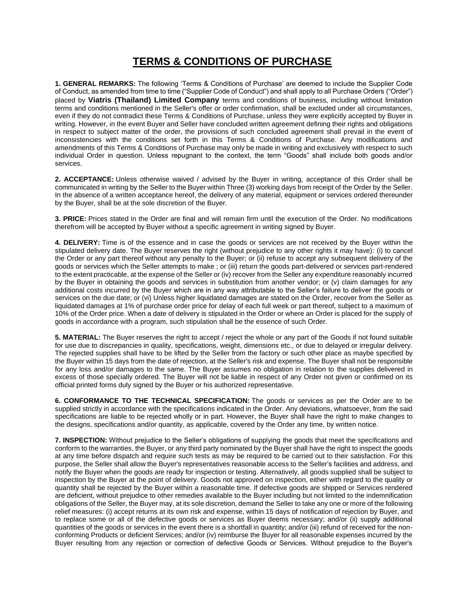## **TERMS & CONDITIONS OF PURCHASE**

**1. GENERAL REMARKS:** The following 'Terms & Conditions of Purchase' are deemed to include the Supplier Code of Conduct, as amended from time to time ("Supplier Code of Conduct") and shall apply to all Purchase Orders ("Order") placed by **Viatris (Thailand) Limited Company** terms and conditions of business, including without limitation terms and conditions mentioned in the Seller's offer or order confirmation, shall be excluded under all circumstances, even if they do not contradict these Terms & Conditions of Purchase, unless they were explicitly accepted by Buyer in writing. However, in the event Buyer and Seller have concluded written agreement defining their rights and obligations in respect to subject matter of the order, the provisions of such concluded agreement shall prevail in the event of inconsistencies with the conditions set forth in this Terms & Conditions of Purchase. Any modifications and amendments of this Terms & Conditions of Purchase may only be made in writing and exclusively with respect to such individual Order in question. Unless repugnant to the context, the term "Goods" shall include both goods and/or services.

**2. ACCEPTANCE:** Unless otherwise waived / advised by the Buyer in writing, acceptance of this Order shall be communicated in writing by the Seller to the Buyer within Three (3) working days from receipt of the Order by the Seller. In the absence of a written acceptance hereof, the delivery of any material, equipment or services ordered thereunder by the Buyer, shall be at the sole discretion of the Buyer.

**3. PRICE:** Prices stated in the Order are final and will remain firm until the execution of the Order. No modifications therefrom will be accepted by Buyer without a specific agreement in writing signed by Buyer.

**4. DELIVERY:** Time is of the essence and in case the goods or services are not received by the Buyer within the stipulated delivery date. The Buyer reserves the right (without prejudice to any other rights it may have): (i) to cancel the Order or any part thereof without any penalty to the Buyer; or (ii) refuse to accept any subsequent delivery of the goods or services which the Seller attempts to make ; or (iii) return the goods part-delivered or services part-rendered to the extent practicable, at the expense of the Seller or (iv) recover from the Seller any expenditure reasonably incurred by the Buyer in obtaining the goods and services in substitution from another vendor; or (v) claim damages for any additional costs incurred by the Buyer which are in any way attributable to the Seller's failure to deliver the goods or services on the due date; or (vi) Unless higher liquidated damages are stated on the Order, recover from the Seller as liquidated damages at 1% of purchase order price for delay of each full week or part thereof, subject to a maximum of 10% of the Order price. When a date of delivery is stipulated in the Order or where an Order is placed for the supply of goods in accordance with a program, such stipulation shall be the essence of such Order.

**5. MATERIAL:** The Buyer reserves the right to accept / reject the whole or any part of the Goods if not found suitable for use due to discrepancies in quality, specifications, weight, dimensions etc., or due to delayed or irregular delivery. The rejected supplies shall have to be lifted by the Seller from the factory or such other place as maybe specified by the Buyer within 15 days from the date of rejection, at the Seller's risk and expense. The Buyer shall not be responsible for any loss and/or damages to the same. The Buyer assumes no obligation in relation to the supplies delivered in excess of those specially ordered. The Buyer will not be liable in respect of any Order not given or confirmed on its official printed forms duly signed by the Buyer or his authorized representative.

**6. CONFORMANCE TO THE TECHNICAL SPECIFICATION:** The goods or services as per the Order are to be supplied strictly in accordance with the specifications indicated in the Order. Any deviations, whatsoever, from the said specifications are liable to be rejected wholly or in part. However, the Buyer shall have the right to make changes to the designs, specifications and/or quantity, as applicable, covered by the Order any time, by written notice.

**7. INSPECTION:** Without prejudice to the Seller's obligations of supplying the goods that meet the specifications and conform to the warranties, the Buyer, or any third party nominated by the Buyer shall have the right to inspect the goods at any time before dispatch and require such tests as may be required to be carried out to their satisfaction. For this purpose, the Seller shall allow the Buyer's representatives reasonable access to the Seller's facilities and address, and notify the Buyer when the goods are ready for inspection or testing. Alternatively, all goods supplied shall be subject to inspection by the Buyer at the point of delivery. Goods not approved on inspection, either with regard to the quality or quantity shall be rejected by the Buyer within a reasonable time. If defective goods are shipped or Services rendered are deficient, without prejudice to other remedies available to the Buyer including but not limited to the indemnification obligations of the Seller, the Buyer may, at its sole discretion, demand the Seller to take any one or more of the following relief measures: (i) accept returns at its own risk and expense, within 15 days of notification of rejection by Buyer, and to replace some or all of the defective goods or services as Buyer deems necessary; and/or (ii) supply additional quantities of the goods or services in the event there is a shortfall in quantity; and/or (iii) refund of received for the nonconforming Products or deficient Services; and/or (iv) reimburse the Buyer for all reasonable expenses incurred by the Buyer resulting from any rejection or correction of defective Goods or Services. Without prejudice to the Buyer's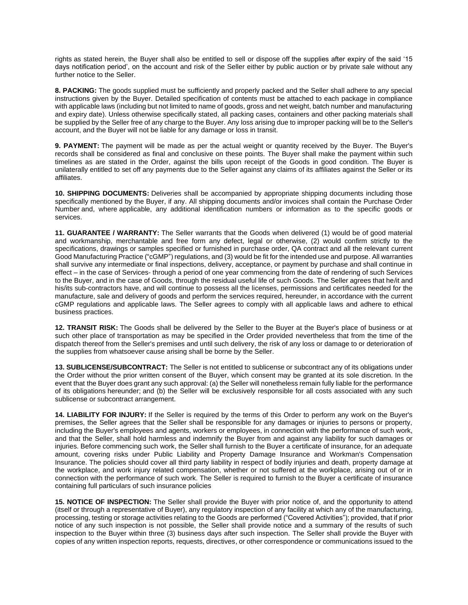rights as stated herein, the Buyer shall also be entitled to sell or dispose off the supplies after expiry of the said '15 days notification period', on the account and risk of the Seller either by public auction or by private sale without any further notice to the Seller.

**8. PACKING:** The goods supplied must be sufficiently and properly packed and the Seller shall adhere to any special instructions given by the Buyer. Detailed specification of contents must be attached to each package in compliance with applicable laws (including but not limited to name of goods, gross and net weight, batch number and manufacturing and expiry date). Unless otherwise specifically stated, all packing cases, containers and other packing materials shall be supplied by the Seller free of any charge to the Buyer. Any loss arising due to improper packing will be to the Seller's account, and the Buyer will not be liable for any damage or loss in transit.

**9. PAYMENT:** The payment will be made as per the actual weight or quantity received by the Buyer. The Buyer's records shall be considered as final and conclusive on these points. The Buyer shall make the payment within such timelines as are stated in the Order, against the bills upon receipt of the Goods in good condition. The Buyer is unilaterally entitled to set off any payments due to the Seller against any claims of its affiliates against the Seller or its affiliates.

**10. SHIPPING DOCUMENTS:** Deliveries shall be accompanied by appropriate shipping documents including those specifically mentioned by the Buyer, if any. All shipping documents and/or invoices shall contain the Purchase Order Number and, where applicable, any additional identification numbers or information as to the specific goods or services.

**11. GUARANTEE / WARRANTY:** The Seller warrants that the Goods when delivered (1) would be of good material and workmanship, merchantable and free form any defect, legal or otherwise, (2) would confirm strictly to the specifications, drawings or samples specified or furnished in purchase order, QA contract and all the relevant current Good Manufacturing Practice ("cGMP") regulations, and (3) would be fit for the intended use and purpose. All warranties shall survive any intermediate or final inspections, delivery, acceptance, or payment by purchase and shall continue in effect – in the case of Services- through a period of one year commencing from the date of rendering of such Services to the Buyer, and in the case of Goods, through the residual useful life of such Goods. The Seller agrees that he/it and his/its sub-contractors have, and will continue to possess all the licenses, permissions and certificates needed for the manufacture, sale and delivery of goods and perform the services required, hereunder, in accordance with the current cGMP regulations and applicable laws. The Seller agrees to comply with all applicable laws and adhere to ethical business practices.

**12. TRANSIT RISK:** The Goods shall be delivered by the Seller to the Buyer at the Buyer's place of business or at such other place of transportation as may be specified in the Order provided nevertheless that from the time of the dispatch thereof from the Seller's premises and until such delivery, the risk of any loss or damage to or deterioration of the supplies from whatsoever cause arising shall be borne by the Seller.

**13. SUBLICENSE/SUBCONTRACT:** The Seller is not entitled to sublicense or subcontract any of its obligations under the Order without the prior written consent of the Buyer, which consent may be granted at its sole discretion. In the event that the Buyer does grant any such approval: (a) the Seller will nonetheless remain fully liable for the performance of its obligations hereunder; and (b) the Seller will be exclusively responsible for all costs associated with any such sublicense or subcontract arrangement.

**14. LIABILITY FOR INJURY:** If the Seller is required by the terms of this Order to perform any work on the Buyer's premises, the Seller agrees that the Seller shall be responsible for any damages or injuries to persons or property, including the Buyer's employees and agents, workers or employees, in connection with the performance of such work, and that the Seller, shall hold harmless and indemnify the Buyer from and against any liability for such damages or injuries. Before commencing such work, the Seller shall furnish to the Buyer a certificate of insurance, for an adequate amount, covering risks under Public Liability and Property Damage Insurance and Workman's Compensation Insurance. The policies should cover all third party liability in respect of bodily injuries and death, property damage at the workplace, and work injury related compensation, whether or not suffered at the workplace, arising out of or in connection with the performance of such work. The Seller is required to furnish to the Buyer a certificate of insurance containing full particulars of such insurance policies

**15. NOTICE OF INSPECTION:** The Seller shall provide the Buyer with prior notice of, and the opportunity to attend (itself or through a representative of Buyer), any regulatory inspection of any facility at which any of the manufacturing, processing, testing or storage activities relating to the Goods are performed ("Covered Activities"); provided, that if prior notice of any such inspection is not possible, the Seller shall provide notice and a summary of the results of such inspection to the Buyer within three (3) business days after such inspection. The Seller shall provide the Buyer with copies of any written inspection reports, requests, directives, or other correspondence or communications issued to the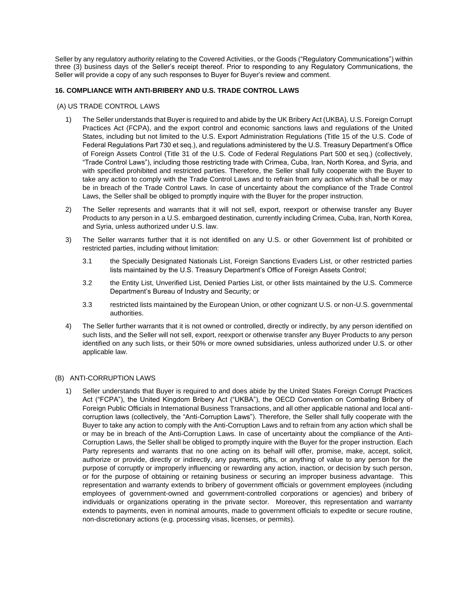Seller by any regulatory authority relating to the Covered Activities, or the Goods ("Regulatory Communications") within three (3) business days of the Seller's receipt thereof. Prior to responding to any Regulatory Communications, the Seller will provide a copy of any such responses to Buyer for Buyer's review and comment.

## **16. COMPLIANCE WITH ANTI-BRIBERY AND U.S. TRADE CONTROL LAWS**

## (A) US TRADE CONTROL LAWS

- 1) The Seller understands that Buyer is required to and abide by the UK Bribery Act (UKBA), U.S. Foreign Corrupt Practices Act (FCPA), and the export control and economic sanctions laws and regulations of the United States, including but not limited to the U.S. Export Administration Regulations (Title 15 of the U.S. Code of Federal Regulations Part 730 et seq.), and regulations administered by the U.S. Treasury Department's Office of Foreign Assets Control (Title 31 of the U.S. Code of Federal Regulations Part 500 et seq.) (collectively, "Trade Control Laws"), including those restricting trade with Crimea, Cuba, Iran, North Korea, and Syria, and with specified prohibited and restricted parties. Therefore, the Seller shall fully cooperate with the Buyer to take any action to comply with the Trade Control Laws and to refrain from any action which shall be or may be in breach of the Trade Control Laws. In case of uncertainty about the compliance of the Trade Control Laws, the Seller shall be obliged to promptly inquire with the Buyer for the proper instruction.
- 2) The Seller represents and warrants that it will not sell, export, reexport or otherwise transfer any Buyer Products to any person in a U.S. embargoed destination, currently including Crimea, Cuba, Iran, North Korea, and Syria, unless authorized under U.S. law.
- 3) The Seller warrants further that it is not identified on any U.S. or other Government list of prohibited or restricted parties, including without limitation:
	- 3.1 the Specially Designated Nationals List, Foreign Sanctions Evaders List, or other restricted parties lists maintained by the U.S. Treasury Department's Office of Foreign Assets Control;
	- 3.2 the Entity List, Unverified List, Denied Parties List, or other lists maintained by the U.S. Commerce Department's Bureau of Industry and Security; or
	- 3.3 restricted lists maintained by the European Union, or other cognizant U.S. or non-U.S. governmental authorities.
- 4) The Seller further warrants that it is not owned or controlled, directly or indirectly, by any person identified on such lists, and the Seller will not sell, export, reexport or otherwise transfer any Buyer Products to any person identified on any such lists, or their 50% or more owned subsidiaries, unless authorized under U.S. or other applicable law.

## (B) ANTI-CORRUPTION LAWS

1) Seller understands that Buyer is required to and does abide by the United States Foreign Corrupt Practices Act ("FCPA"), the United Kingdom Bribery Act ("UKBA"), the OECD Convention on Combating Bribery of Foreign Public Officials in International Business Transactions, and all other applicable national and local anticorruption laws (collectively, the "Anti-Corruption Laws"). Therefore, the Seller shall fully cooperate with the Buyer to take any action to comply with the Anti-Corruption Laws and to refrain from any action which shall be or may be in breach of the Anti-Corruption Laws. In case of uncertainty about the compliance of the Anti-Corruption Laws, the Seller shall be obliged to promptly inquire with the Buyer for the proper instruction. Each Party represents and warrants that no one acting on its behalf will offer, promise, make, accept, solicit, authorize or provide, directly or indirectly, any payments, gifts, or anything of value to any person for the purpose of corruptly or improperly influencing or rewarding any action, inaction, or decision by such person, or for the purpose of obtaining or retaining business or securing an improper business advantage. This representation and warranty extends to bribery of government officials or government employees (including employees of government-owned and government-controlled corporations or agencies) and bribery of individuals or organizations operating in the private sector. Moreover, this representation and warranty extends to payments, even in nominal amounts, made to government officials to expedite or secure routine, non-discretionary actions (e.g. processing visas, licenses, or permits).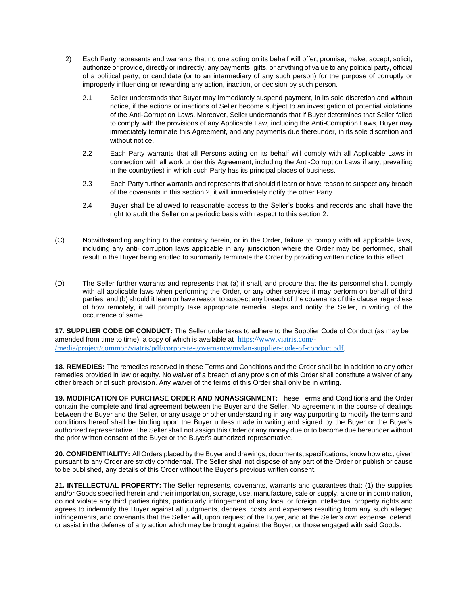- 2) Each Party represents and warrants that no one acting on its behalf will offer, promise, make, accept, solicit, authorize or provide, directly or indirectly, any payments, gifts, or anything of value to any political party, official of a political party, or candidate (or to an intermediary of any such person) for the purpose of corruptly or improperly influencing or rewarding any action, inaction, or decision by such person.
	- 2.1 Seller understands that Buyer may immediately suspend payment, in its sole discretion and without notice, if the actions or inactions of Seller become subject to an investigation of potential violations of the Anti-Corruption Laws. Moreover, Seller understands that if Buyer determines that Seller failed to comply with the provisions of any Applicable Law, including the Anti-Corruption Laws, Buyer may immediately terminate this Agreement, and any payments due thereunder, in its sole discretion and without notice.
	- 2.2 Each Party warrants that all Persons acting on its behalf will comply with all Applicable Laws in connection with all work under this Agreement, including the Anti-Corruption Laws if any, prevailing in the country(ies) in which such Party has its principal places of business.
	- 2.3 Each Party further warrants and represents that should it learn or have reason to suspect any breach of the covenants in this section 2, it will immediately notify the other Party.
	- 2.4 Buyer shall be allowed to reasonable access to the Seller's books and records and shall have the right to audit the Seller on a periodic basis with respect to this section 2.
- (C) Notwithstanding anything to the contrary herein, or in the Order, failure to comply with all applicable laws, including any anti- corruption laws applicable in any jurisdiction where the Order may be performed, shall result in the Buyer being entitled to summarily terminate the Order by providing written notice to this effect.
- (D) The Seller further warrants and represents that (a) it shall, and procure that the its personnel shall, comply with all applicable laws when performing the Order, or any other services it may perform on behalf of third parties; and (b) should it learn or have reason to suspect any breach of the covenants of this clause, regardless of how remotely, it will promptly take appropriate remedial steps and notify the Seller, in writing, of the occurrence of same.

**17. SUPPLIER CODE OF CONDUCT:** The Seller undertakes to adhere to the Supplier Code of Conduct (as may be amended from time to time), a copy of which is available at [https://www.viatris.com/-](https://www.viatris.com/-/media/project/common/viatris/pdf/corporate-governance/mylan-supplier-code-of-conduct.pdf) [/media/project/common/viatris/pdf/corporate-governance/mylan-supplier-code-of-conduct.pdf.](https://www.viatris.com/-/media/project/common/viatris/pdf/corporate-governance/mylan-supplier-code-of-conduct.pdf)

**18**. **REMEDIES:** The remedies reserved in these Terms and Conditions and the Order shall be in addition to any other remedies provided in law or equity. No waiver of a breach of any provision of this Order shall constitute a waiver of any other breach or of such provision. Any waiver of the terms of this Order shall only be in writing.

**19. MODIFICATION OF PURCHASE ORDER AND NONASSIGNMENT:** These Terms and Conditions and the Order contain the complete and final agreement between the Buyer and the Seller. No agreement in the course of dealings between the Buyer and the Seller, or any usage or other understanding in any way purporting to modify the terms and conditions hereof shall be binding upon the Buyer unless made in writing and signed by the Buyer or the Buyer's authorized representative. The Seller shall not assign this Order or any money due or to become due hereunder without the prior written consent of the Buyer or the Buyer's authorized representative.

**20. CONFIDENTIALITY:** All Orders placed by the Buyer and drawings, documents, specifications, know how etc., given pursuant to any Order are strictly confidential. The Seller shall not dispose of any part of the Order or publish or cause to be published, any details of this Order without the Buyer's previous written consent.

**21. INTELLECTUAL PROPERTY:** The Seller represents, covenants, warrants and guarantees that: (1) the supplies and/or Goods specified herein and their importation, storage, use, manufacture, sale or supply, alone or in combination, do not violate any third parties rights, particularly infringement of any local or foreign intellectual property rights and agrees to indemnify the Buyer against all judgments, decrees, costs and expenses resulting from any such alleged infringements, and covenants that the Seller will, upon request of the Buyer, and at the Seller's own expense, defend, or assist in the defense of any action which may be brought against the Buyer, or those engaged with said Goods.